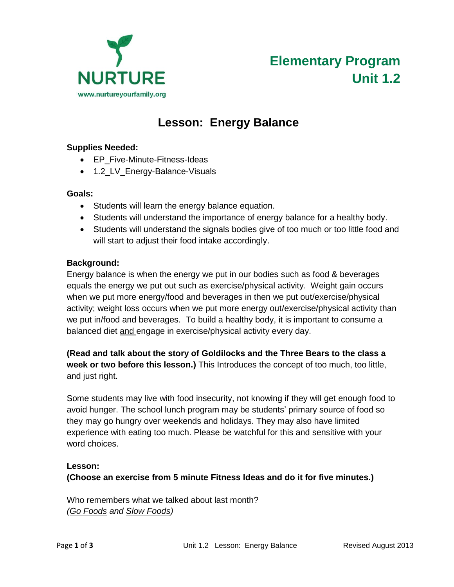

# **Elementary Program Unit 1.2**

# **Lesson: Energy Balance**

#### **Supplies Needed:**

- EP Five-Minute-Fitness-Ideas
- 1.2\_LV\_Energy-Balance-Visuals

#### **Goals:**

- Students will learn the energy balance equation.
- Students will understand the importance of energy balance for a healthy body.
- Students will understand the signals bodies give of too much or too little food and will start to adjust their food intake accordingly.

#### **Background:**

Energy balance is when the energy we put in our bodies such as food & beverages equals the energy we put out such as exercise/physical activity. Weight gain occurs when we put more energy/food and beverages in then we put out/exercise/physical activity; weight loss occurs when we put more energy out/exercise/physical activity than we put in/food and beverages. To build a healthy body, it is important to consume a balanced diet and engage in exercise/physical activity every day.

## **(Read and talk about the story of Goldilocks and the Three Bears to the class a week or two before this lesson.)** This Introduces the concept of too much, too little, and just right.

Some students may live with food insecurity, not knowing if they will get enough food to avoid hunger. The school lunch program may be students' primary source of food so they may go hungry over weekends and holidays. They may also have limited experience with eating too much. Please be watchful for this and sensitive with your word choices.

#### **Lesson:**

**(Choose an exercise from 5 minute Fitness Ideas and do it for five minutes.)**

Who remembers what we talked about last month? *(Go Foods and Slow Foods)*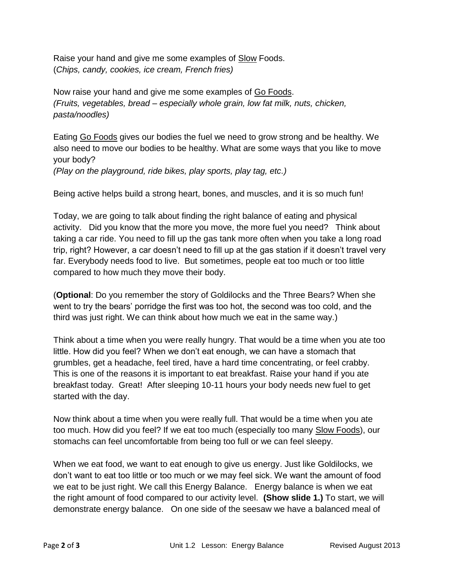Raise your hand and give me some examples of Slow Foods. (*Chips, candy, cookies, ice cream, French fries)*

Now raise your hand and give me some examples of Go Foods. *(Fruits, vegetables, bread – especially whole grain, low fat milk, nuts, chicken, pasta/noodles)*

Eating Go Foods gives our bodies the fuel we need to grow strong and be healthy. We also need to move our bodies to be healthy. What are some ways that you like to move your body?

*(Play on the playground, ride bikes, play sports, play tag, etc.)*

Being active helps build a strong heart, bones, and muscles, and it is so much fun!

Today, we are going to talk about finding the right balance of eating and physical activity. Did you know that the more you move, the more fuel you need? Think about taking a car ride. You need to fill up the gas tank more often when you take a long road trip, right? However, a car doesn't need to fill up at the gas station if it doesn't travel very far. Everybody needs food to live. But sometimes, people eat too much or too little compared to how much they move their body.

(**Optional**: Do you remember the story of Goldilocks and the Three Bears? When she went to try the bears' porridge the first was too hot, the second was too cold, and the third was just right. We can think about how much we eat in the same way.)

Think about a time when you were really hungry. That would be a time when you ate too little. How did you feel? When we don't eat enough, we can have a stomach that grumbles, get a headache, feel tired, have a hard time concentrating, or feel crabby. This is one of the reasons it is important to eat breakfast. Raise your hand if you ate breakfast today. Great! After sleeping 10-11 hours your body needs new fuel to get started with the day.

Now think about a time when you were really full. That would be a time when you ate too much. How did you feel? If we eat too much (especially too many Slow Foods), our stomachs can feel uncomfortable from being too full or we can feel sleepy.

When we eat food, we want to eat enough to give us energy. Just like Goldilocks, we don't want to eat too little or too much or we may feel sick. We want the amount of food we eat to be just right. We call this Energy Balance. Energy balance is when we eat the right amount of food compared to our activity level. **(Show slide 1.)** To start, we will demonstrate energy balance. On one side of the seesaw we have a balanced meal of